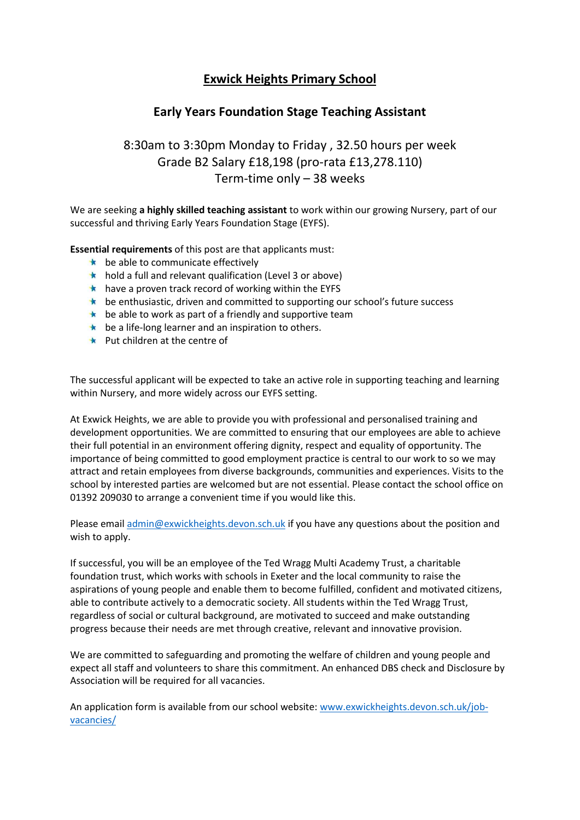## **Exwick Heights Primary School**

## **Early Years Foundation Stage Teaching Assistant**

## 8:30am to 3:30pm Monday to Friday , 32.50 hours per week Grade B2 Salary £18,198 (pro-rata £13,278.110) Term-time only – 38 weeks

We are seeking **a highly skilled teaching assistant** to work within our growing Nursery, part of our successful and thriving Early Years Foundation Stage (EYFS).

**Essential requirements** of this post are that applicants must:

- $\star$  be able to communicate effectively
- $\star$  hold a full and relevant qualification (Level 3 or above)
- $\star$  have a proven track record of working within the EYFS
- **the enthusiastic, driven and committed to supporting our school's future success**
- $\star$  be able to work as part of a friendly and supportive team
- $\star$  be a life-long learner and an inspiration to others.
- **EX** Put children at the centre of

The successful applicant will be expected to take an active role in supporting teaching and learning within Nursery, and more widely across our EYFS setting.

At Exwick Heights, we are able to provide you with professional and personalised training and development opportunities. We are committed to ensuring that our employees are able to achieve their full potential in an environment offering dignity, respect and equality of opportunity. The importance of being committed to good employment practice is central to our work to so we may attract and retain employees from diverse backgrounds, communities and experiences. Visits to the school by interested parties are welcomed but are not essential. Please contact the school office on 01392 209030 to arrange a convenient time if you would like this.

Please email [admin@exwickheights.devon.sch.uk](mailto:admin@exwickheights.devon.sch.uk) if you have any questions about the position and wish to apply.

If successful, you will be an employee of the Ted Wragg Multi Academy Trust, a charitable foundation trust, which works with schools in Exeter and the local community to raise the aspirations of young people and enable them to become fulfilled, confident and motivated citizens, able to contribute actively to a democratic society. All students within the Ted Wragg Trust, regardless of social or cultural background, are motivated to succeed and make outstanding progress because their needs are met through creative, relevant and innovative provision.

We are committed to safeguarding and promoting the welfare of children and young people and expect all staff and volunteers to share this commitment. An enhanced DBS check and Disclosure by Association will be required for all vacancies.

An application form is available from our school website: [www.exwickheights.devon.sch.uk/job](http://www.exwickheights.devon.sch.uk/job-vacancies/)[vacancies/](http://www.exwickheights.devon.sch.uk/job-vacancies/)